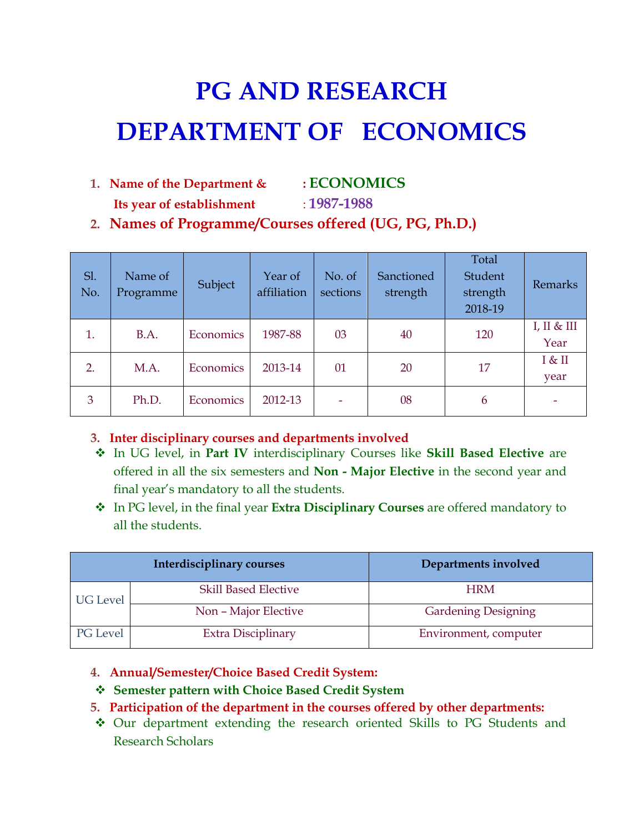# **PG AND RESEARCH DEPARTMENT OF ECONOMICS**

- **1. Name of the Department & : ECONOMICS**
	- **Its year of establishment** : **1987-1988**
- **2. Names of Programme/Courses offered (UG, PG, Ph.D.)**

| Sl.<br>No. | Name of<br>Programme | Subject   | Year of<br>affiliation | No. of<br>sections | Sanctioned<br>strength | Total<br>Student<br>strength<br>2018-19 | Remarks             |
|------------|----------------------|-----------|------------------------|--------------------|------------------------|-----------------------------------------|---------------------|
| 1.         | B.A.                 | Economics | 1987-88                | 03                 | 40                     | 120                                     | I, II & III<br>Year |
| 2.         | M.A.                 | Economics | 2013-14                | 01                 | 20                     | 17                                      | I & II<br>year      |
| 3          | Ph.D.                | Economics | 2012-13                |                    | 08                     | 6                                       |                     |

- **3. Inter disciplinary courses and departments involved**
- In UG level, in **Part IV** interdisciplinary Courses like **Skill Based Elective** are offered in all the six semesters and **Non - Major Elective** in the second year and final year's mandatory to all the students.
- In PG level, in the final year **Extra Disciplinary Courses** are offered mandatory to all the students.

|                 | Interdisciplinary courses   | Departments involved       |
|-----------------|-----------------------------|----------------------------|
| <b>UG</b> Level | <b>Skill Based Elective</b> | <b>HRM</b>                 |
|                 | Non - Major Elective        | <b>Gardening Designing</b> |
| PG Level        | Extra Disciplinary          | Environment, computer      |

- **4. Annual/Semester/Choice Based Credit System:**
- **Semester pattern with Choice Based Credit System**
- **5. Participation of the department in the courses offered by other departments:**
- Our department extending the research oriented Skills to PG Students and Research Scholars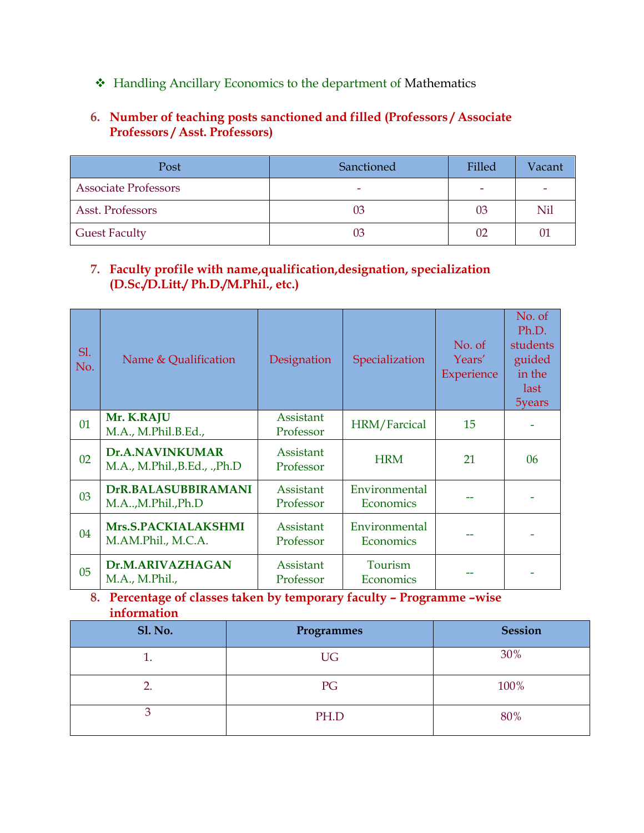Handling Ancillary Economics to the department of Mathematics

# **6. Number of teaching posts sanctioned and filled (Professors / Associate Professors / Asst. Professors)**

| Post                        | Sanctioned | Filled | Vacant |
|-----------------------------|------------|--------|--------|
| <b>Associate Professors</b> |            |        |        |
| Asst. Professors            | 03         | 03     | Nil    |
| <b>Guest Faculty</b>        | 03         | 02     | 01     |

# **7. Faculty profile with name,qualification,designation, specialization (D.Sc./D.Litt./ Ph.D./M.Phil., etc.)**

| SI.<br>No. | Name & Qualification                             | Designation            | Specialization             | No. of<br>Years'<br>Experience | No. of<br>Ph.D.<br>students<br>guided<br>in the<br>last<br>5years |
|------------|--------------------------------------------------|------------------------|----------------------------|--------------------------------|-------------------------------------------------------------------|
| 01         | Mr. K.RAJU<br>M.A., M.Phil.B.Ed.,                | Assistant<br>Professor | HRM/Farcical               | 15                             |                                                                   |
| 02         | Dr.A.NAVINKUMAR<br>M.A., M.Phil., B.Ed., ., Ph.D | Assistant<br>Professor | <b>HRM</b>                 | 21                             | 06                                                                |
| 03         | DrR.BALASUBBIRAMANI<br>M.A.,M.Phil.,Ph.D         | Assistant<br>Professor | Environmental<br>Economics |                                |                                                                   |
| 04         | Mrs.S.PACKIALAKSHMI<br>M.AM.Phil., M.C.A.        | Assistant<br>Professor | Environmental<br>Economics |                                |                                                                   |
| 05         | Dr.M.ARIVAZHAGAN<br>M.A., M.Phil.,               | Assistant<br>Professor | Tourism<br>Economics       |                                |                                                                   |

# **8. Percentage of classes taken by temporary faculty – Programme –wise information**

| <b>Sl. No.</b> | Programmes | <b>Session</b> |
|----------------|------------|----------------|
|                | <b>UG</b>  | 30%            |
|                | PG         | 100%           |
|                | PH.D       | 80%            |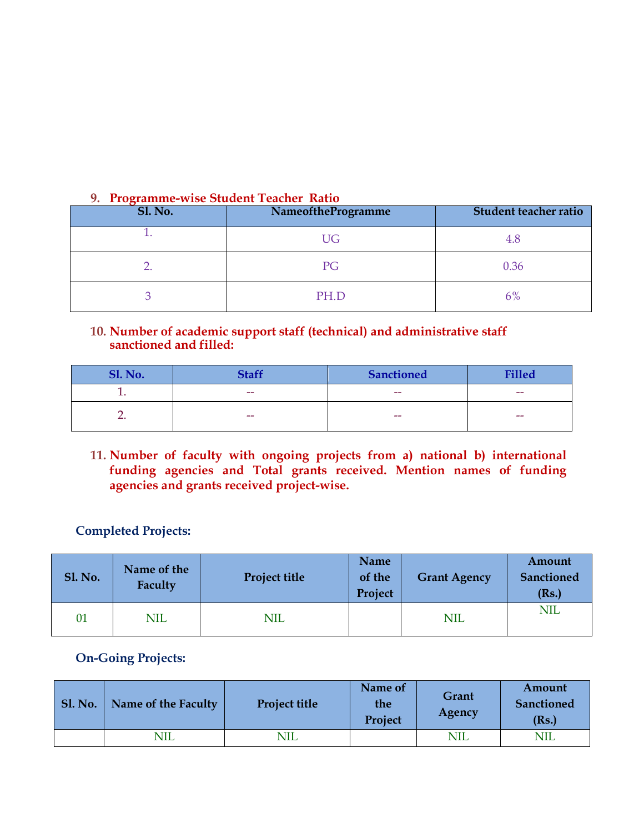| $\sim$ 1104 and $\sim$ 000 band in Teacher Tweet<br><b>Sl. No.</b> | NameoftheProgramme | Student teacher ratio |
|--------------------------------------------------------------------|--------------------|-----------------------|
|                                                                    | <b>UG</b>          | 4.8                   |
|                                                                    | PG                 | 0.36                  |
|                                                                    | PH.D               | 6%                    |

#### **9. Programme-wise Student Teacher Ratio**

#### **10. Number of academic support staff (technical) and administrative staff sanctioned and filled:**

| <b>Sl. No.</b> | <b>Staff</b>             | <b>Sanctioned</b> | <b>Filled</b> |
|----------------|--------------------------|-------------------|---------------|
|                | $\overline{\phantom{m}}$ | $- -$             | $- -$         |
|                | $-$                      | $- -$             | $- -$         |

**11. Number of faculty with ongoing projects from a) national b) international funding agencies and Total grants received. Mention names of funding agencies and grants received project-wise.**

# **Completed Projects:**

| <b>Sl. No.</b> | Name of the<br>Faculty | <b>Project title</b> | Name<br>of the<br>Project | <b>Grant Agency</b> | Amount<br><b>Sanctioned</b><br>(Rs.) |
|----------------|------------------------|----------------------|---------------------------|---------------------|--------------------------------------|
| 01             | <b>NIL</b>             | <b>NIL</b>           |                           | <b>NIL</b>          | <b>NIL</b>                           |

# **On-Going Projects:**

| <b>Sl. No.</b> | Name of the Faculty | <b>Project title</b> | Name of<br>the<br>Project | Grant<br>Agency | Amount<br><b>Sanctioned</b><br>(Rs.) |
|----------------|---------------------|----------------------|---------------------------|-----------------|--------------------------------------|
|                | <b>NIL</b>          | NIL                  |                           | <b>NIL</b>      | NIL                                  |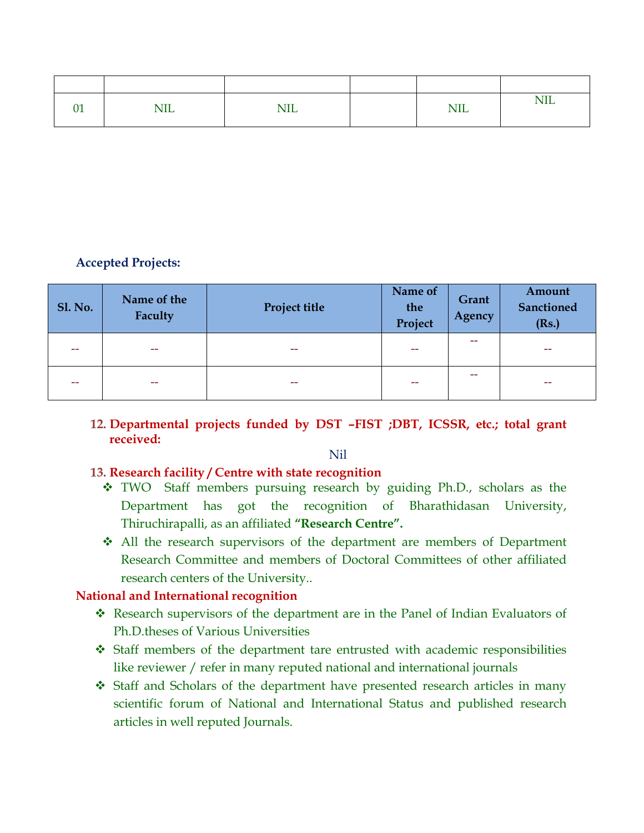| $\sim$<br>UΙ | <b>TTT</b><br>17IL | <b>NIL</b> | <b>NIL</b> | <b>NIL</b> |
|--------------|--------------------|------------|------------|------------|

# **Accepted Projects:**

| <b>Sl. No.</b> | Name of the<br>Faculty | Project title | Name of<br>the<br>Project | Grant<br>Agency | Amount<br><b>Sanctioned</b><br>(Rs.) |
|----------------|------------------------|---------------|---------------------------|-----------------|--------------------------------------|
|                | $- -$                  | --            | --                        | --              | --                                   |
|                | $- -$                  | --            | --                        | --              | $- -$                                |

#### **12. Departmental projects funded by DST –FIST ;DBT, ICSSR, etc.; total grant received:**

Nil

#### **13. Research facility / Centre with state recognition**

- TWO Staff members pursuing research by guiding Ph.D., scholars as the Department has got the recognition of Bharathidasan University, Thiruchirapalli, as an affiliated **"Research Centre".**
- All the research supervisors of the department are members of Department Research Committee and members of Doctoral Committees of other affiliated research centers of the University..

#### **National and International recognition**

- Research supervisors of the department are in the Panel of Indian Evaluators of Ph.D.theses of Various Universities
- Staff members of the department tare entrusted with academic responsibilities like reviewer / refer in many reputed national and international journals
- Staff and Scholars of the department have presented research articles in many scientific forum of National and International Status and published research articles in well reputed Journals.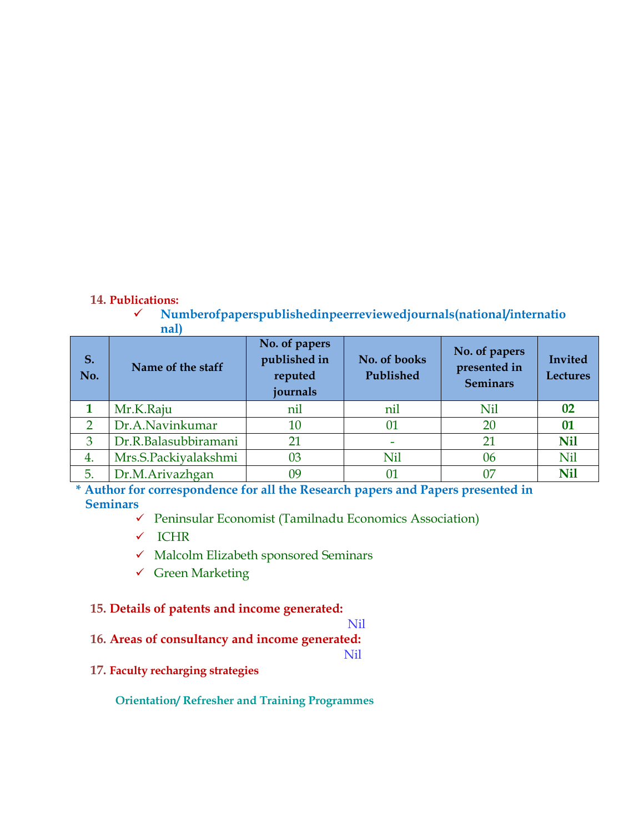#### **14. Publications:**

 **Numberofpaperspublishedinpeerreviewedjournals(national/internatio nal)**

| S.<br>No. | Name of the staff    | No. of papers<br>published in<br>reputed<br>journals | No. of books<br>Published | No. of papers<br>presented in<br><b>Seminars</b> | Invited<br><b>Lectures</b> |
|-----------|----------------------|------------------------------------------------------|---------------------------|--------------------------------------------------|----------------------------|
|           | Mr.K.Raju            | nil                                                  | nil                       | Nil                                              | 02                         |
| C         | Dr.A.Navinkumar      | 10                                                   | 01                        | 20                                               | 01                         |
| 3         | Dr.R.Balasubbiramani | 21                                                   |                           | 21                                               | <b>Nil</b>                 |
| 4.        | Mrs.S.Packiyalakshmi | 03                                                   | Nil                       | 06                                               | Nil                        |
| 5.        | Dr.M.Arivazhgan      | 09                                                   |                           |                                                  | <b>Nil</b>                 |

**\* Author for correspondence for all the Research papers and Papers presented in Seminars**

- $\checkmark$  Peninsular Economist (Tamilnadu Economics Association)
- $\checkmark$  ICHR
- $\checkmark$  Malcolm Elizabeth sponsored Seminars
- Green Marketing

#### **15. Details of patents and income generated:**

## Nil

**16. Areas of consultancy and income generated:**

Nil

#### **17. Faculty recharging strategies**

 **Orientation/ Refresher and Training Programmes**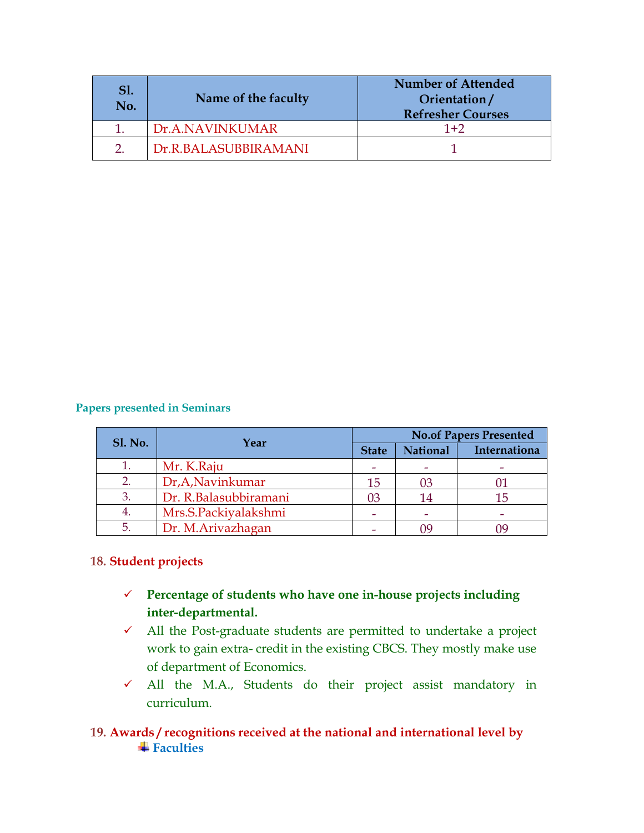| No. | Name of the faculty  | <b>Number of Attended</b><br>Orientation/<br><b>Refresher Courses</b> |
|-----|----------------------|-----------------------------------------------------------------------|
|     | Dr.A.NAVINKUMAR      | $1+2$                                                                 |
|     | Dr.R.BALASUBBIRAMANI |                                                                       |

#### **Papers presented in Seminars**

| <b>Sl. No.</b> | Year                  | <b>No.of Papers Presented</b> |                 |              |
|----------------|-----------------------|-------------------------------|-----------------|--------------|
|                |                       | <b>State</b>                  | <b>National</b> | Internationa |
|                | Mr. K.Raju            |                               |                 |              |
|                | Dr, A, Navinkumar     | 15                            | 03              |              |
| 3              | Dr. R.Balasubbiramani | 03                            | 14              | 15           |
| 4.             | Mrs.S.Packiyalakshmi  |                               |                 |              |
| 5.             | Dr. M.Arivazhagan     |                               |                 |              |

#### **18. Student projects**

- **Percentage of students who have one in-house projects including inter-departmental.**
- All the Post-graduate students are permitted to undertake a project work to gain extra- credit in the existing CBCS. They mostly make use of department of Economics.
- All the M.A., Students do their project assist mandatory in curriculum.

## **19. Awards / recognitions received at the national and international level by**  $\frac{1}{\sqrt{2}}$  **Faculties**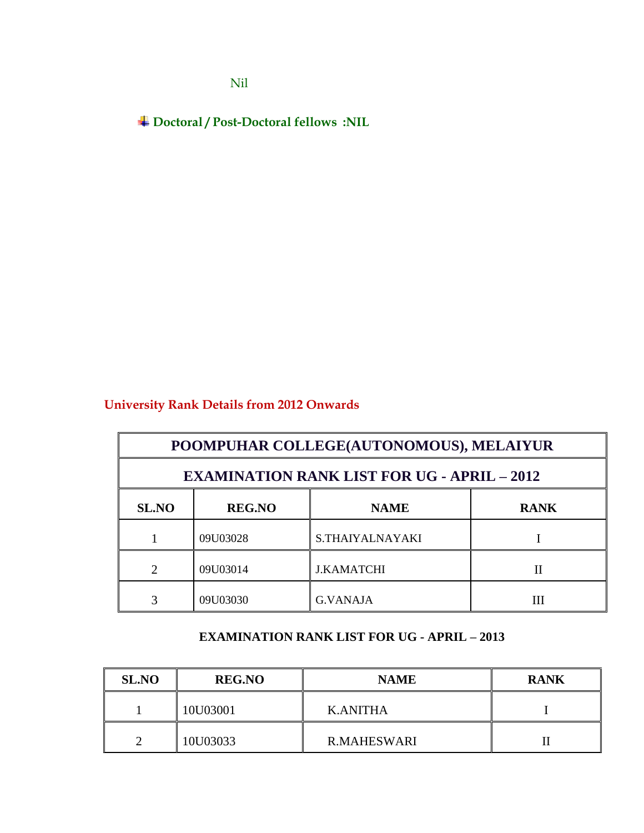Nil

**Doctoral / Post-Doctoral fellows :NIL**

# **University Rank Details from 2012 Onwards**

|              | POOMPUHAR COLLEGE(AUTONOMOUS), MELAIYUR            |                   |             |  |  |
|--------------|----------------------------------------------------|-------------------|-------------|--|--|
|              | <b>EXAMINATION RANK LIST FOR UG - APRIL - 2012</b> |                   |             |  |  |
| <b>SL.NO</b> | <b>REG.NO</b>                                      | <b>NAME</b>       | <b>RANK</b> |  |  |
|              | 09U03028                                           | S.THAIYALNAYAKI   |             |  |  |
|              | 09U03014                                           | <b>J.KAMATCHI</b> | $_{\rm II}$ |  |  |
|              | 09U03030                                           | <b>G.VANAJA</b>   |             |  |  |

# **EXAMINATION RANK LIST FOR UG - APRIL – 2013**

| <b>SL.NO</b> | <b>REG.NO</b> | <b>NAME</b>        | <b>RANK</b> |
|--------------|---------------|--------------------|-------------|
|              | 10U03001      | <b>K.ANITHA</b>    |             |
|              | 10U03033      | <b>R.MAHESWARI</b> |             |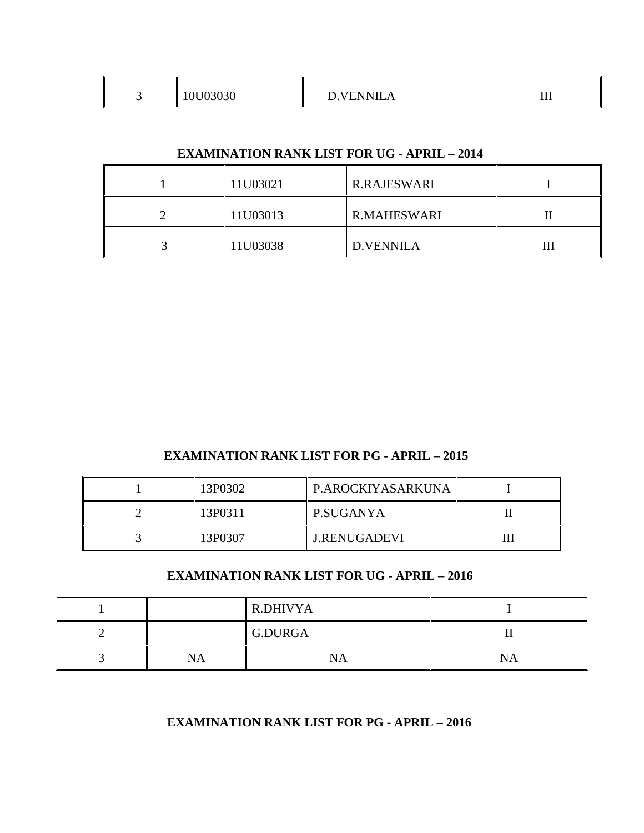#### **EXAMINATION RANK LIST FOR UG - APRIL – 2014**

| 11U03021 | <b>R.RAJESWARI</b> |  |
|----------|--------------------|--|
| 11U03013 | <b>R.MAHESWARI</b> |  |
| 11U03038 | D.VENNILA          |  |

# **EXAMINATION RANK LIST FOR PG - APRIL – 2015**

| 13P0302 | P.AROCKIYASARKUNA   |  |
|---------|---------------------|--|
| 13P0311 | P.SUGANYA           |  |
| 13P0307 | <b>J.RENUGADEVI</b> |  |

# **EXAMINATION RANK LIST FOR UG - APRIL – 2016**

|    | <b>R.DHIVYA</b> |     |
|----|-----------------|-----|
|    | G.DURGA         |     |
| NA | NA              | NA. |

# **EXAMINATION RANK LIST FOR PG - APRIL – 2016**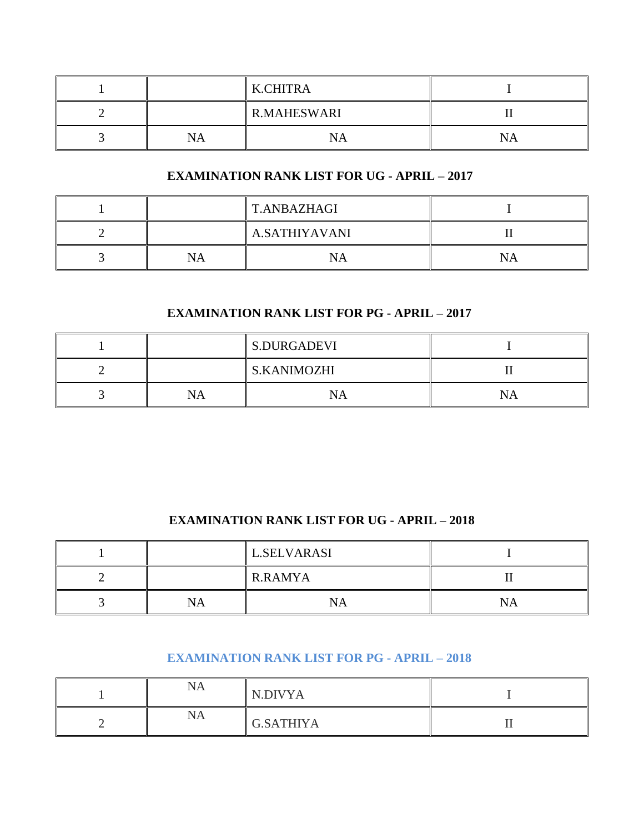|    | K.CHITRA           |  |
|----|--------------------|--|
|    | <b>R.MAHESWARI</b> |  |
| NA | NΑ                 |  |

# **EXAMINATION RANK LIST FOR UG - APRIL – 2017**

|    | <b>T.ANBAZHAGI</b> |  |
|----|--------------------|--|
|    | A.SATHIYAVANI      |  |
| NA | NА                 |  |

# **EXAMINATION RANK LIST FOR PG - APRIL – 2017**

|   |   | S.DURGADEVI        |  |
|---|---|--------------------|--|
| - |   | <b>S.KANIMOZHI</b> |  |
|   | A |                    |  |

# **EXAMINATION RANK LIST FOR UG - APRIL – 2018**

|   |     | <b>L.SELVARASI</b> |    |
|---|-----|--------------------|----|
| ∸ |     | R.RAMYA            |    |
| ت | 'NА | 'NА                | NA |

#### **EXAMINATION RANK LIST FOR PG - APRIL – 2018**

| NA | N.DIVYA          |  |
|----|------------------|--|
| NA | <b>G.SATHIYA</b> |  |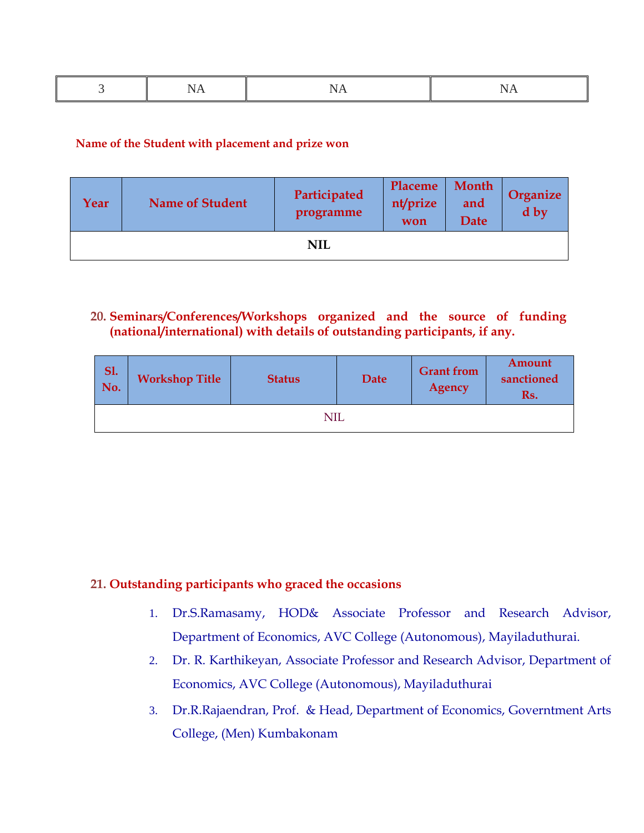|--|--|--|--|

#### **Name of the Student with placement and prize won**

| Year | <b>Name of Student</b> | Participated<br>programme | Placeme<br>nt/prize<br>won | Month<br>and<br><b>Date</b> | Organize<br>d by |
|------|------------------------|---------------------------|----------------------------|-----------------------------|------------------|
|      |                        | <b>NIL</b>                |                            |                             |                  |

# **20. Seminars/Conferences/Workshops organized and the source of funding (national/international) with details of outstanding participants, if any.**

| <b>Sl.</b><br>No. | <b>Workshop Title</b> | <b>Status</b> | Date | <b>Grant</b> from<br><b>Agency</b> | Amount<br>sanctioned<br>Rs. |
|-------------------|-----------------------|---------------|------|------------------------------------|-----------------------------|
|                   |                       | NIL           |      |                                    |                             |

#### **21. Outstanding participants who graced the occasions**

- 1. Dr.S.Ramasamy, HOD& Associate Professor and Research Advisor, Department of Economics, AVC College (Autonomous), Mayiladuthurai.
- 2. Dr. R. Karthikeyan, Associate Professor and Research Advisor, Department of Economics, AVC College (Autonomous), Mayiladuthurai
- 3. Dr.R.Rajaendran, Prof. & Head, Department of Economics, Governtment Arts College, (Men) Kumbakonam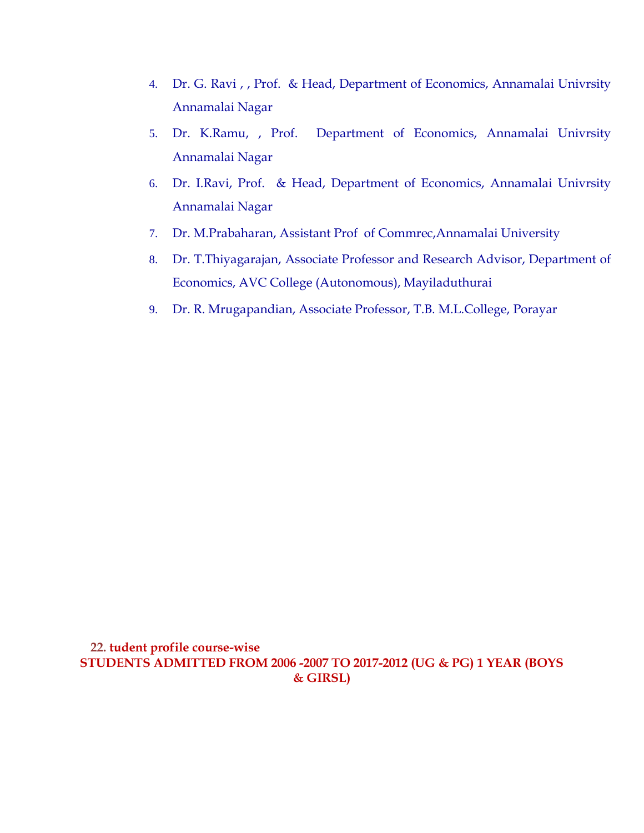- 4. Dr. G. Ravi , , Prof. & Head, Department of Economics, Annamalai Univrsity Annamalai Nagar
- 5. Dr. K.Ramu, , Prof. Department of Economics, Annamalai Univrsity Annamalai Nagar
- 6. Dr. I.Ravi, Prof. & Head, Department of Economics, Annamalai Univrsity Annamalai Nagar
- 7. Dr. M.Prabaharan, Assistant Prof of Commrec,Annamalai University
- 8. Dr. T.Thiyagarajan, Associate Professor and Research Advisor, Department of Economics, AVC College (Autonomous), Mayiladuthurai
- 9. Dr. R. Mrugapandian, Associate Professor, T.B. M.L.College, Porayar

**22. tudent profile course-wise STUDENTS ADMITTED FROM 2006 -2007 TO 2017-2012 (UG & PG) 1 YEAR (BOYS & GIRSL)**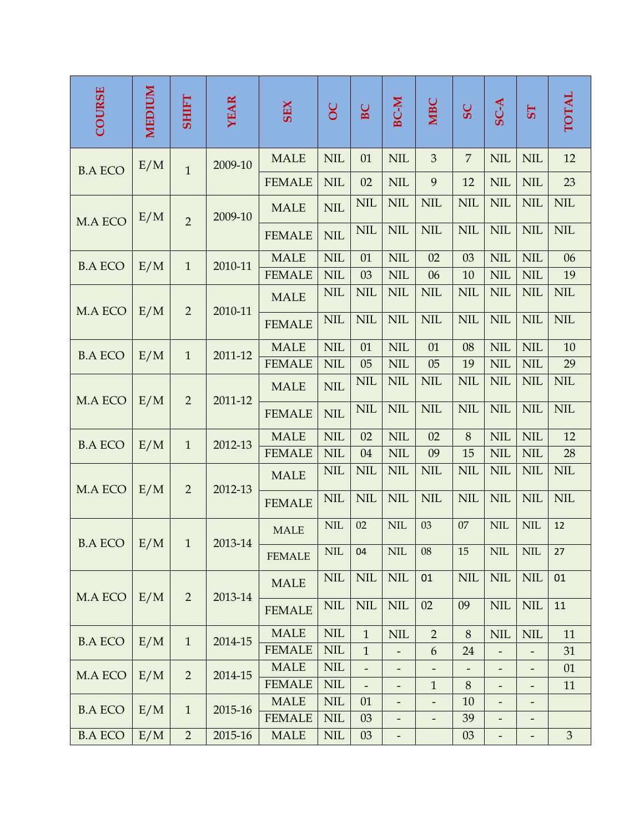| <b>COURSE</b>  | MEDIUM | <b>SHIFT</b>   | <b>YEAR</b> | <b>SEX</b>    | $\overline{OC}$ | BC                       | <b>BC-M</b>              | <b>NIBC</b>              | SC             | SC-A                         | <b>5T</b>                    | <b>TOTAL</b>   |
|----------------|--------|----------------|-------------|---------------|-----------------|--------------------------|--------------------------|--------------------------|----------------|------------------------------|------------------------------|----------------|
|                | E/M    | $\overline{1}$ | 2009-10     | <b>MALE</b>   | <b>NIL</b>      | 01                       | <b>NIL</b>               | $\mathfrak{B}$           | $\overline{7}$ | <b>NIL</b>                   | <b>NIL</b>                   | 12             |
| <b>B.A ECO</b> |        |                |             | <b>FEMALE</b> | <b>NIL</b>      | 02                       | <b>NIL</b>               | 9                        | 12             | <b>NIL</b>                   | <b>NIL</b>                   | 23             |
| M.A ECO        | E/M    | $\overline{2}$ | 2009-10     | <b>MALE</b>   | <b>NIL</b>      | <b>NIL</b>               | <b>NIL</b>               | <b>NIL</b>               | <b>NIL</b>     | <b>NIL</b>                   | <b>NIL</b>                   | <b>NIL</b>     |
|                |        |                |             | <b>FEMALE</b> | <b>NIL</b>      | <b>NIL</b>               | <b>NIL</b>               | <b>NIL</b>               | <b>NIL</b>     | <b>NIL</b>                   | <b>NIL</b>                   | <b>NIL</b>     |
| <b>B.A ECO</b> | E/M    | $\mathbf{1}$   | 2010-11     | <b>MALE</b>   | <b>NIL</b>      | 01                       | <b>NIL</b>               | 02                       | 03             | <b>NIL</b>                   | <b>NIL</b>                   | 06             |
|                |        |                |             | <b>FEMALE</b> | <b>NIL</b>      | 03                       | <b>NIL</b>               | 06                       | 10             | <b>NIL</b>                   | <b>NIL</b>                   | 19             |
| M.A ECO        | E/M    | $\overline{2}$ | 2010-11     | <b>MALE</b>   | <b>NIL</b>      | <b>NIL</b>               | <b>NIL</b>               | <b>NIL</b>               | <b>NIL</b>     | <b>NIL</b>                   | <b>NIL</b>                   | <b>NIL</b>     |
|                |        |                |             | <b>FEMALE</b> | <b>NIL</b>      | <b>NIL</b>               | <b>NIL</b>               | <b>NIL</b>               | <b>NIL</b>     | <b>NIL</b>                   | <b>NIL</b>                   | <b>NIL</b>     |
| <b>B.A ECO</b> | E/M    | $\mathbf{1}$   | 2011-12     | <b>MALE</b>   | <b>NIL</b>      | 01                       | <b>NIL</b>               | 01                       | 08             | <b>NIL</b>                   | <b>NIL</b>                   | 10             |
|                |        |                |             | <b>FEMALE</b> | <b>NIL</b>      | 05                       | <b>NIL</b>               | 05                       | 19             | <b>NIL</b>                   | <b>NIL</b>                   | 29             |
| M.A ECO        | E/M    | $\overline{2}$ | 2011-12     | <b>MALE</b>   | <b>NIL</b>      | <b>NIL</b>               | <b>NIL</b>               | <b>NIL</b>               | <b>NIL</b>     | <b>NIL</b>                   | <b>NIL</b>                   | <b>NIL</b>     |
|                |        |                |             | <b>FEMALE</b> | <b>NIL</b>      | <b>NIL</b>               | <b>NIL</b>               | <b>NIL</b>               | <b>NIL</b>     | <b>NIL</b>                   | <b>NIL</b>                   | <b>NIL</b>     |
| <b>B.A ECO</b> | E/M    | $\mathbf{1}$   | 2012-13     | <b>MALE</b>   | <b>NIL</b>      | 02                       | <b>NIL</b>               | 02                       | 8              | <b>NIL</b>                   | <b>NIL</b>                   | 12             |
|                |        |                |             | <b>FEMALE</b> | <b>NIL</b>      | 04                       | <b>NIL</b>               | 09                       | 15             | <b>NIL</b>                   | <b>NIL</b>                   | 28             |
| M.A ECO        | E/M    | $\overline{2}$ | 2012-13     | <b>MALE</b>   | <b>NIL</b>      | <b>NIL</b>               | <b>NIL</b>               | <b>NIL</b>               | <b>NIL</b>     | <b>NIL</b>                   | <b>NIL</b>                   | <b>NIL</b>     |
|                |        |                |             | <b>FEMALE</b> | <b>NIL</b>      | <b>NIL</b>               | <b>NIL</b>               | <b>NIL</b>               | <b>NIL</b>     | <b>NIL</b>                   | <b>NIL</b>                   | <b>NIL</b>     |
| BA ECO   E/M   |        | $\mathbf{1}$   | 2013-14     | <b>MALE</b>   | $\text{NIL}$    | 02                       | $\text{NIL}$             | 03                       | $07\,$         | <b>NIL</b>                   | <b>NIL</b>                   | 12             |
|                |        |                |             | <b>FEMALE</b> | <b>NIL</b>      | 04                       | $\text{NIL}$             | 08                       | 15             | <b>NIL</b>                   | NIL                          | 27             |
| M.A ECO        | E/M    | $\overline{2}$ | 2013-14     | <b>MALE</b>   | $\text{NIL}$    | <b>NIL</b>               | $\text{NIL}$             | 01                       | $\text{NIL}$   | $\text{NIL}$                 | <b>NIL</b>                   | 01             |
|                |        |                |             | <b>FEMALE</b> | $\text{NIL}$    | <b>NIL</b>               | <b>NIL</b>               | 02                       | 09             | <b>NIL</b>                   | <b>NIL</b>                   | 11             |
| <b>B.A ECO</b> | E/M    | $\mathbf{1}$   | 2014-15     | <b>MALE</b>   | $\text{NIL}$    | $\mathbf{1}$             | <b>NIL</b>               | $\overline{2}$           | 8              | <b>NIL</b>                   | <b>NIL</b>                   | 11             |
|                |        |                |             | <b>FEMALE</b> | $\text{NIL}$    | $\mathbf{1}$             | $\overline{\phantom{0}}$ | 6                        | 24             | $\overline{\phantom{m}}$     | $\overline{\phantom{0}}$     | 31             |
| M.A ECO        | E/M    | $\overline{2}$ | 2014-15     | <b>MALE</b>   | $\text{NIL}$    | $\overline{\phantom{0}}$ | -                        | -                        |                | -                            | $\qquad \qquad \blacksquare$ | 01             |
|                |        |                |             | <b>FEMALE</b> | $\text{NIL}$    | $\overline{\phantom{a}}$ | $\overline{\phantom{0}}$ | $\mathbf{1}$             | $8\,$          | $\qquad \qquad \blacksquare$ | $\overline{\phantom{a}}$     | 11             |
| <b>B.A ECO</b> | E/M    | $\mathbf{1}$   | 2015-16     | <b>MALE</b>   | $\text{NIL}$    | 01                       | $\overline{\phantom{0}}$ | $\overline{\phantom{0}}$ | 10             | $\overline{\phantom{0}}$     | $\overline{\phantom{a}}$     |                |
|                |        |                |             | <b>FEMALE</b> | <b>NIL</b>      | 03                       | -                        | -                        | 39             |                              | $\overline{\phantom{a}}$     |                |
| <b>B.A ECO</b> | E/M    | $\overline{2}$ | 2015-16     | <b>MALE</b>   | $\text{NIL}$    | 03                       | $\overline{\phantom{0}}$ |                          | 03             | $\qquad \qquad \blacksquare$ | $\qquad \qquad \blacksquare$ | $\overline{3}$ |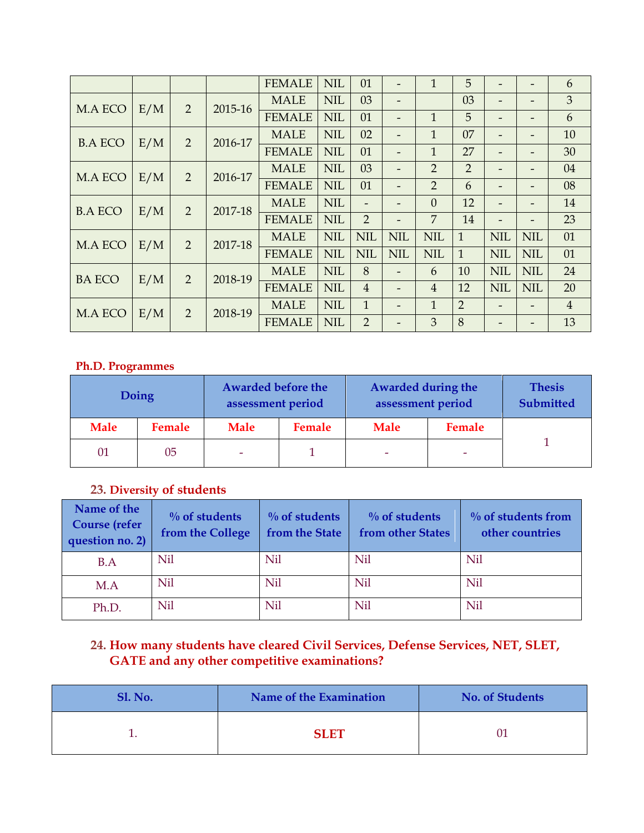|                |     |                |         | <b>FEMALE</b> | <b>NIL</b> | 01                       |                          | 1              | 5              |                          |                              | 6              |
|----------------|-----|----------------|---------|---------------|------------|--------------------------|--------------------------|----------------|----------------|--------------------------|------------------------------|----------------|
| M.A ECO        | E/M | $\overline{2}$ | 2015-16 | <b>MALE</b>   | <b>NIL</b> | 03                       |                          |                | 03             |                          |                              | 3              |
|                |     |                |         | <b>FEMALE</b> | <b>NIL</b> | 01                       |                          | $\overline{1}$ | 5              |                          |                              | 6              |
| <b>B.A ECO</b> | E/M | $\overline{2}$ | 2016-17 | <b>MALE</b>   | <b>NIL</b> | 02                       | -                        | $\overline{1}$ | 07             |                          | $\overline{\phantom{0}}$     | 10             |
|                |     |                |         | <b>FEMALE</b> | <b>NIL</b> | 01                       |                          | 1              | 27             | $\qquad \qquad$          | -                            | 30             |
| M.A ECO        | E/M | $\overline{2}$ | 2016-17 | <b>MALE</b>   | <b>NIL</b> | 03                       |                          | $\overline{2}$ | $\overline{2}$ |                          |                              | 04             |
|                |     |                |         | <b>FEMALE</b> | <b>NIL</b> | 01                       | -                        | 2              | 6              | $\qquad \qquad$          | $\qquad \qquad \blacksquare$ | 08             |
| <b>B.A ECO</b> | E/M | $\overline{2}$ | 2017-18 | <b>MALE</b>   | <b>NIL</b> | $\overline{\phantom{a}}$ |                          | $\overline{0}$ | 12             |                          | $\qquad \qquad \blacksquare$ | 14             |
|                |     |                |         | <b>FEMALE</b> | <b>NIL</b> | $\overline{2}$           | $\overline{\phantom{a}}$ | $\overline{7}$ | 14             | $\overline{\phantom{a}}$ | $\overline{\phantom{a}}$     | 23             |
| M.A ECO        | E/M | 2              | 2017-18 | <b>MALE</b>   | <b>NIL</b> | <b>NIL</b>               | <b>NIL</b>               | <b>NIL</b>     | $\mathbf{1}$   | <b>NIL</b>               | <b>NIL</b>                   | 01             |
|                |     |                |         | <b>FEMALE</b> | <b>NIL</b> | <b>NIL</b>               | <b>NIL</b>               | <b>NIL</b>     | $\mathbf{1}$   | <b>NIL</b>               | <b>NIL</b>                   | 01             |
| <b>BA ECO</b>  | E/M | 2              | 2018-19 | <b>MALE</b>   | <b>NIL</b> | 8                        |                          | 6              | 10             | <b>NIL</b>               | <b>NIL</b>                   | 24             |
|                |     |                |         | <b>FEMALE</b> | <b>NIL</b> | $\overline{4}$           |                          | $\overline{4}$ | 12             | <b>NIL</b>               | <b>NIL</b>                   | 20             |
| M.A ECO        | E/M | $\overline{2}$ | 2018-19 | <b>MALE</b>   | <b>NIL</b> | $\mathbf{1}$             |                          | $\mathbf{1}$   | $\overline{2}$ |                          |                              | $\overline{4}$ |
|                |     |                |         | <b>FEMALE</b> | <b>NIL</b> | $\overline{2}$           |                          | 3              | 8              |                          |                              | 13             |

#### **Ph.D. Programmes**

|             | Doing  | <b>Awarded before the</b><br>assessment period |        | Awarded during the<br>assessment period |        | <b>Thesis</b><br>Submitted |
|-------------|--------|------------------------------------------------|--------|-----------------------------------------|--------|----------------------------|
| <b>Male</b> | Female | <b>Male</b>                                    | Female | <b>Male</b>                             | Female |                            |
| 01          | 05     | $\overline{\phantom{a}}$                       |        | ٠                                       | ٠      |                            |

# **23. Diversity of students**

| Name of the<br><b>Course</b> (refer<br>question no. 2) | $\%$ of students<br>from the College | $\%$ of students<br>from the State | $\%$ of students<br>from other States | $\%$ of students from<br>other countries |
|--------------------------------------------------------|--------------------------------------|------------------------------------|---------------------------------------|------------------------------------------|
| B.A                                                    | Nil                                  | Nil                                | Nil                                   | Nil                                      |
| M.A                                                    | Nil                                  | Nil                                | Nil                                   | Nil                                      |
| Ph.D.                                                  | Nil                                  | Nil                                | Nil                                   | Nil                                      |

# **24. How many students have cleared Civil Services, Defense Services, NET, SLET, GATE and any other competitive examinations?**

| <b>Sl. No.</b> | Name of the Examination | <b>No. of Students</b> |
|----------------|-------------------------|------------------------|
|                | <b>SLET</b>             |                        |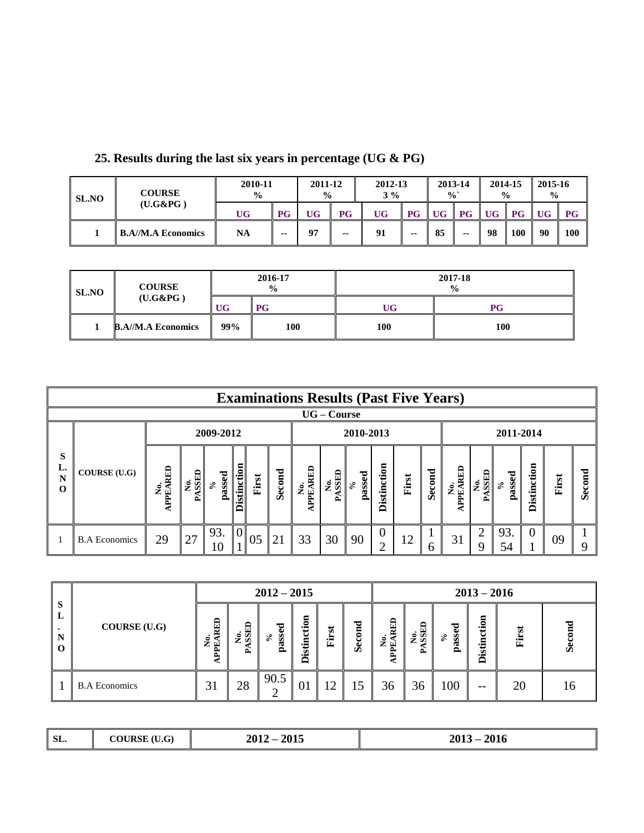| <b>SL.NO</b> | <b>COURSE</b><br>$($ U.G&PG $)$ | 2010-11<br>$\frac{0}{0}$ | 2011-12<br>$\frac{0}{0}$ |    | 2012-13<br>$3\%$ |           | 2013-14<br>$\frac{0}{0}$          |           | 2014-15<br>$\frac{0}{0}$          |     | 2015-16<br>$\frac{6}{6}$ |    |                |
|--------------|---------------------------------|--------------------------|--------------------------|----|------------------|-----------|-----------------------------------|-----------|-----------------------------------|-----|--------------------------|----|----------------|
|              |                                 | UG                       | <b>PG</b>                | UG | P G              | <b>UG</b> | $\overline{\mathbf{P}\mathbf{G}}$ | <b>UG</b> | $\overline{\mathbf{P}\mathbf{G}}$ | UG- | $P$ G                    | UG | $\parallel$ PG |
|              | <b>B.A//M.A Economics</b>       | <b>NA</b>                | --                       | 07 |                  | 91        | --                                | 85        | --                                | 98  | 100                      | 90 | <b>100</b>     |

**25. Results during the last six years in percentage (UG & PG)**

| <b>SL.NO</b> | <b>COURSE</b>             |           | 2016-17<br>$\frac{0}{0}$ |     | 2017-18<br>$\frac{0}{0}$ |
|--------------|---------------------------|-----------|--------------------------|-----|--------------------------|
|              | $($ U.G&PG $)$            | <b>UG</b> | <b>PG</b>                | UG  | PG                       |
|              | <b>B.A//M.A Economics</b> | 99%       | 100                      | 100 | 100                      |

|                          | <b>Examinations Results (Past Five Years)</b> |               |                  |                     |                    |       |        |                        |              |                         |                 |       |        |                |             |                                               |                    |       |        |
|--------------------------|-----------------------------------------------|---------------|------------------|---------------------|--------------------|-------|--------|------------------------|--------------|-------------------------|-----------------|-------|--------|----------------|-------------|-----------------------------------------------|--------------------|-------|--------|
| $UG$ – $Course$          |                                               |               |                  |                     |                    |       |        |                        |              |                         |                 |       |        |                |             |                                               |                    |       |        |
| 2009-2012                |                                               |               |                  |                     |                    |       |        | 2010-2013<br>2011-2014 |              |                         |                 |       |        |                |             |                                               |                    |       |        |
| S<br>L.<br>N<br>$\Omega$ | COURSE (U.G)                                  | APPEARED<br>ż | No.<br>SSED<br>≏ | passed<br>$\approx$ | <b>Distinction</b> | First | Second | No.<br>APEARED         | No.<br>ASSED | passed<br>$\mathcal{S}$ | stinction<br>قة | First | Second | No.<br>APEARED | No.<br>SSED | ssed<br>$\mathcal{S}$<br>$\tilde{\mathbf{a}}$ | <b>Distinction</b> | First | Second |
|                          | <b>B.A Economics</b>                          | 29            | 27               | 93.                 | $\overline{0}$     | 05    | 21     | 33                     | 30           | 90                      | 0               | 12    | 6      | 31             | ◠           | 93.<br>54                                     | $\theta$           | 09    |        |

|                                          |                      |                         | $2012 - 2015$    |                          |                             |       | $2013 - 2016$ |                          |                               |                             |                           |       |    |
|------------------------------------------|----------------------|-------------------------|------------------|--------------------------|-----------------------------|-------|---------------|--------------------------|-------------------------------|-----------------------------|---------------------------|-------|----|
| S<br>L<br>$\bullet$<br>N<br>$\mathbf{o}$ | COURSE (U.G)         | RED<br>No.<br>PPEA<br>◀ | No.<br>SSED<br>∼ | ರ<br>c<br>SS.<br>్<br>ଞ୍ | ទ<br>s<br>₫Ē<br>ø<br>÷<br>≏ | First | ಕ<br>Secom    | <b>RED</b><br>No.<br>PEA | <b>GRSS</b><br>$\dot{z}$<br>∼ | ರ<br>Φ<br>S<br>్<br>α<br>o. | ÷<br>- 두<br>Ù.<br>.,<br>≏ | First | Š  |
|                                          | <b>B.A Economics</b> | 31                      | 28               | 90.5                     | 01                          | 12    | 15            | 36                       | 36                            | 100                         | $- -$                     | 20    | Iб |

| SL. | (TI)<br>9.U<br>. . | ንበ15<br>2012<br>.<br>201. | 201.<br>201<br>ZUL<br>4010 |
|-----|--------------------|---------------------------|----------------------------|
|-----|--------------------|---------------------------|----------------------------|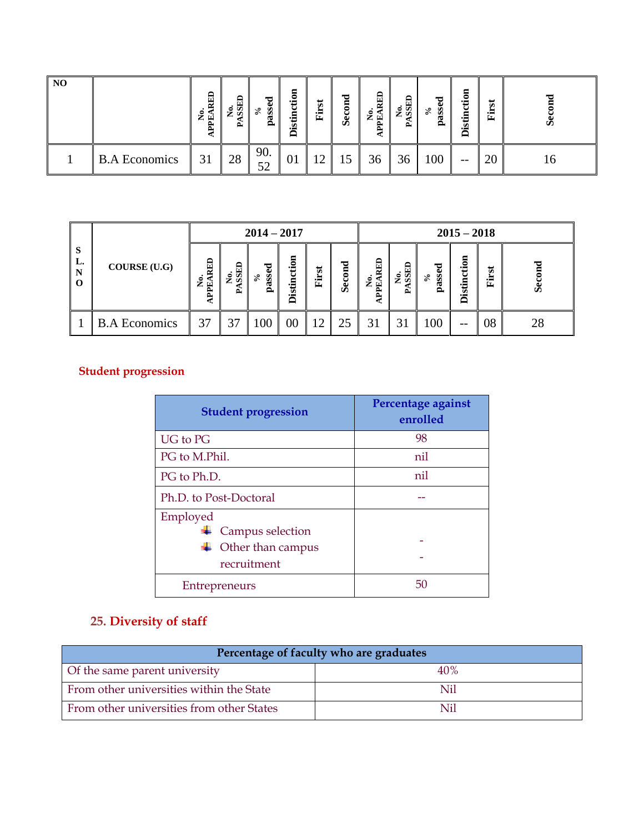| N <sub>O</sub> |                      | RED<br>c<br>÷<br>덜<br>ਸ਼੍ਰਿ | <b>Res</b><br>تم | ರ<br>Φ<br>S<br>ని<br>ଞ୍ | tion<br>έĒ<br>Ù.<br>ت -<br>≏ | ż۵<br>.≒<br>Œ, | ರ<br>ā<br><b>Sec</b> | EI<br>ۑ<br>国<br>∼ | No.<br>SSED<br>≏ | ರ<br>Φ<br>S<br>ని<br>≏ | $\mathbf s$<br>₩<br>έĒ<br>.এ | $\overline{5}$<br>畠 | Ŏ  |
|----------------|----------------------|-----------------------------|------------------|-------------------------|------------------------------|----------------|----------------------|-------------------|------------------|------------------------|------------------------------|---------------------|----|
|                | <b>B.A Economics</b> | 31                          | 28               | 90.<br>52               | 01                           | ∼              | 15<br>ΠJ             | 36                | 36               | 100                    | $- -$                        | 20                  | 10 |

|                               |                      | $2014 - 2017$           |                                      |                                    |             |        | $2015 - 2018$ |                                       |                                 |                  |                    |        |        |
|-------------------------------|----------------------|-------------------------|--------------------------------------|------------------------------------|-------------|--------|---------------|---------------------------------------|---------------------------------|------------------|--------------------|--------|--------|
| <sub>S</sub><br>L.<br>N<br>-0 | COURSE (U.G)         | <b>RED</b><br>ż<br>PPE. | <b>GRISS</b><br>$\tilde{\mathbf{z}}$ | ರ<br>Φ<br>Š.<br>వి<br>$\mathbf{a}$ | Φ<br>ह<br>ڱ | ಕ<br>崫 | Second        | RED<br>$\tilde{\mathbf{z}}$<br>덜<br>ድ | <b>GHSS</b><br>$\tilde{z}$<br>≏ | ᄝ<br>S<br>్<br>ã | <b>Distinction</b> | ಕ<br>占 | Second |
|                               | <b>B.A Economics</b> | 37                      | 37                                   | 100                                | $00\,$      | ി      | 25            | 3                                     |                                 | 100              | $- -$              | 08     | 28     |

# **Student progression**

| <b>Student progression</b>                                       | Percentage against<br>enrolled |
|------------------------------------------------------------------|--------------------------------|
| <b>UG</b> to PG                                                  | 98                             |
| PG to M.Phil.                                                    | nil                            |
| PG to Ph.D.                                                      | nil                            |
| Ph.D. to Post-Doctoral                                           |                                |
| Employed<br>Campus selection<br>Other than campus<br>recruitment |                                |
| Entrepreneurs                                                    | 50                             |

# **25. Diversity of staff**

| Percentage of faculty who are graduates   |     |  |  |  |  |
|-------------------------------------------|-----|--|--|--|--|
| Of the same parent university             | 40% |  |  |  |  |
| From other universities within the State  | Nil |  |  |  |  |
| From other universities from other States | Nil |  |  |  |  |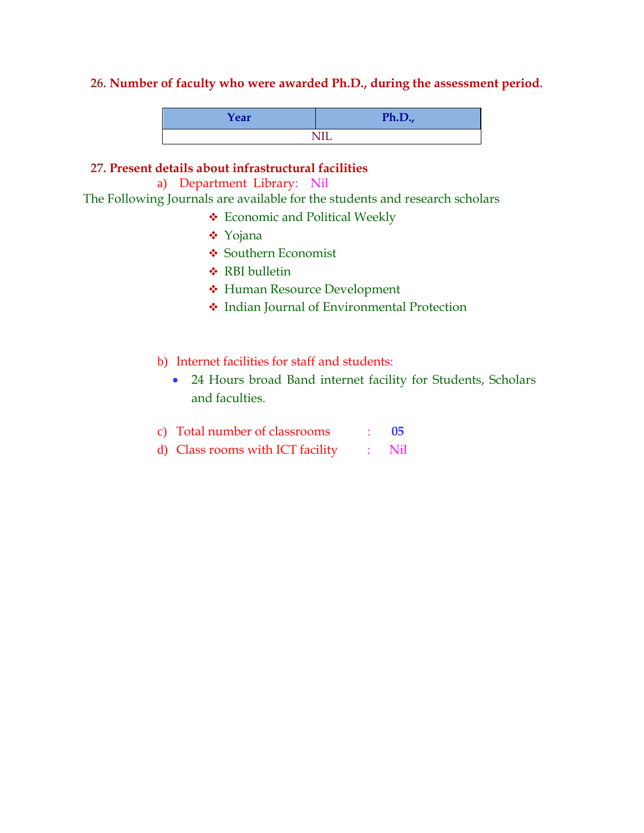#### **26. Number of faculty who were awarded Ph.D., during the assessment period.**

| Year | Ph.D., |
|------|--------|
|      | NIL    |

#### **27. Present details about infrastructural facilities**

a) Department Library: Nil

\ The Following Journals are available for the students and research scholars

- Economic and Political Weekly
- Yojana
- **❖ Southern Economist**
- **❖ RBI bulletin**
- Human Resource Development
- Indian Journal of Environmental Protection
- b) Internet facilities for staff and students:
	- 24 Hours broad Band internet facility for Students, Scholars and faculties.
- c) Total number of classrooms : **05**
- d) Class rooms with ICT facility : Nil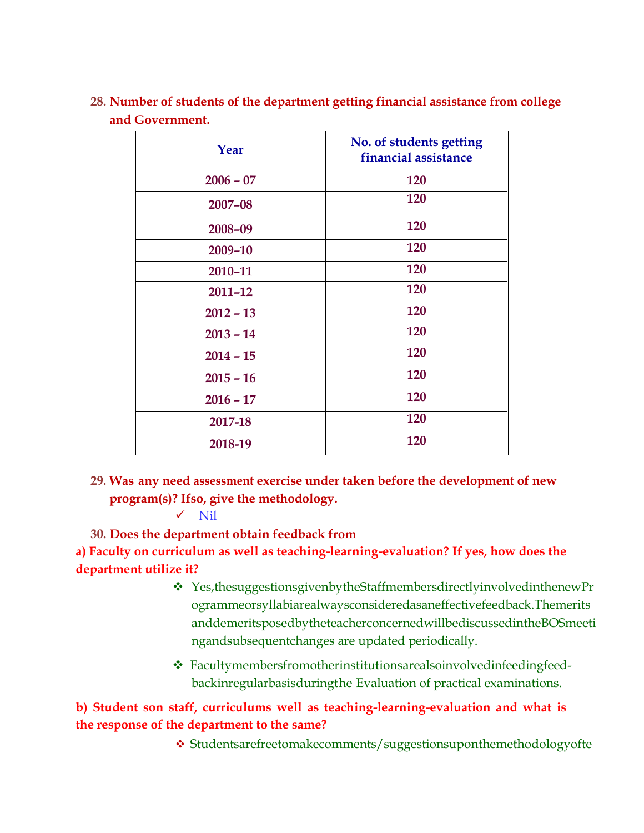| Year        | No. of students getting<br>financial assistance |
|-------------|-------------------------------------------------|
| $2006 - 07$ | 120                                             |
| 2007-08     | 120                                             |
| 2008-09     | 120                                             |
| 2009-10     | 120                                             |
| 2010-11     | 120                                             |
| $2011 - 12$ | 120                                             |
| $2012 - 13$ | 120                                             |
| $2013 - 14$ | 120                                             |
| $2014 - 15$ | 120                                             |
| $2015 - 16$ | 120                                             |
| $2016 - 17$ | 120                                             |
| 2017-18     | 120                                             |
| 2018-19     | 120                                             |

**28. Number of students of the department getting financial assistance from college and Government.**

**29. Was any need assessment exercise under taken before the development of new program(s)? Ifso, give the methodology.**

 $\checkmark$  Nil

**30. Does the department obtain feedback from**

**a) Faculty on curriculum as well as teaching-learning-evaluation? If yes, how does the department utilize it?**

- Yes,thesuggestionsgivenbytheStaffmembersdirectlyinvolvedinthenewPr ogrammeorsyllabiarealwaysconsideredasaneffectivefeedback.Themerits anddemeritsposedbytheteacherconcernedwillbediscussedintheBOSmeeti ngandsubsequentchanges are updated periodically.
- Facultymembersfromotherinstitutionsarealsoinvolvedinfeedingfeedbackinregularbasisduringthe Evaluation of practical examinations.

# **b) Student son staff, curriculums well as teaching-learning-evaluation and what is the response of the department to the same?**

Studentsarefreetomakecomments/suggestionsuponthemethodologyofte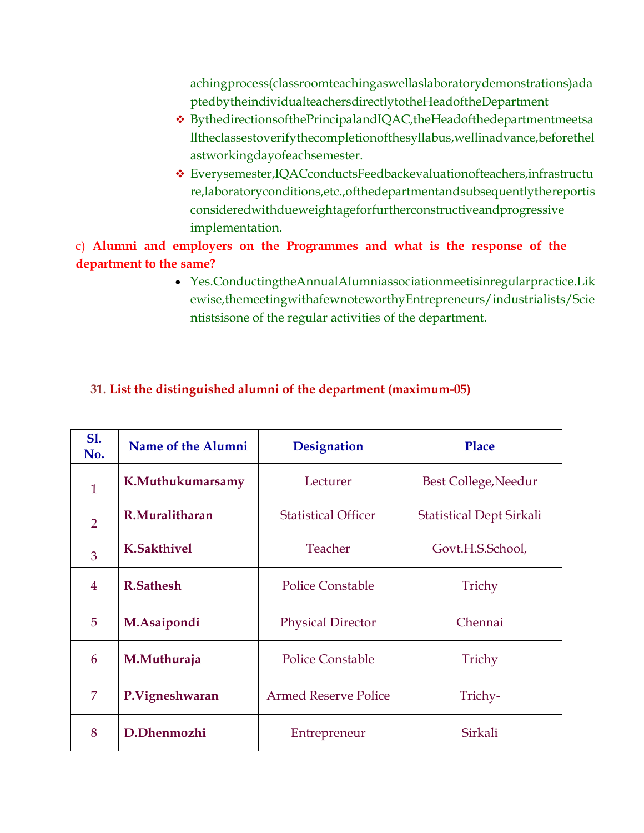achingprocess(classroomteachingaswellaslaboratorydemonstrations)ada ptedbytheindividualteachersdirectlytotheHeadoftheDepartment

- BythedirectionsofthePrincipalandIQAC,theHeadofthedepartmentmeetsa lltheclassestoverifythecompletionofthesyllabus,wellinadvance,beforethel astworkingdayofeachsemester.
- Everysemester,IQACconductsFeedbackevaluationofteachers,infrastructu re,laboratoryconditions,etc.,ofthedepartmentandsubsequentlythereportis consideredwithdueweightageforfurtherconstructiveandprogressive implementation.

# c) **Alumni and employers on the Programmes and what is the response of the department to the same?**

 Yes.ConductingtheAnnualAlumniassociationmeetisinregularpractice.Lik ewise,themeetingwithafewnoteworthyEntrepreneurs/industrialists/Scie ntistsisone of the regular activities of the department.

| <b>S1.</b><br>No. | Name of the Alumni | <b>Designation</b>          | Place                           |
|-------------------|--------------------|-----------------------------|---------------------------------|
| $\mathbf{1}$      | K.Muthukumarsamy   | Lecturer                    | Best College, Needur            |
| $\overline{2}$    | R.Muralitharan     | <b>Statistical Officer</b>  | <b>Statistical Dept Sirkali</b> |
| 3                 | <b>K.Sakthivel</b> | Teacher                     | Govt.H.S.School,                |
| 4                 | <b>R.Sathesh</b>   | <b>Police Constable</b>     | Trichy                          |
| 5                 | M.Asaipondi        | <b>Physical Director</b>    | Chennai                         |
| 6                 | M.Muthuraja        | <b>Police Constable</b>     | Trichy                          |
| 7                 | P.Vigneshwaran     | <b>Armed Reserve Police</b> | Trichy-                         |
| 8                 | D.Dhenmozhi        | Entrepreneur                | Sirkali                         |

# **31. List the distinguished alumni of the department (maximum-05)**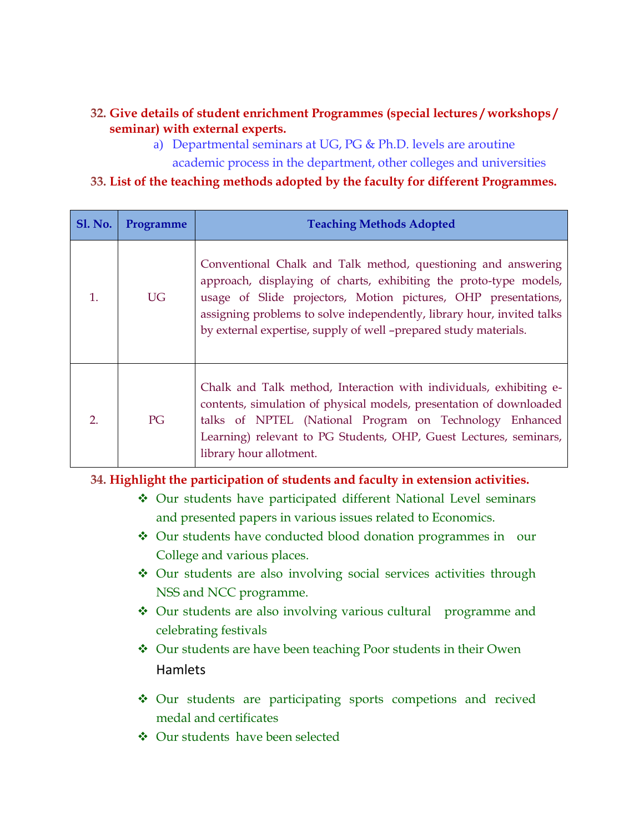# **32. Give details of student enrichment Programmes (special lectures / workshops / seminar) with external experts.**

a) Departmental seminars at UG, PG & Ph.D. levels are aroutine academic process in the department, other colleges and universities

## **33. List of the teaching methods adopted by the faculty for different Programmes.**

| <b>Sl. No.</b> | Programme | <b>Teaching Methods Adopted</b>                                                                                                                                                                                                                                                                                                                    |
|----------------|-----------|----------------------------------------------------------------------------------------------------------------------------------------------------------------------------------------------------------------------------------------------------------------------------------------------------------------------------------------------------|
| 1.             | <b>UG</b> | Conventional Chalk and Talk method, questioning and answering<br>approach, displaying of charts, exhibiting the proto-type models,<br>usage of Slide projectors, Motion pictures, OHP presentations,<br>assigning problems to solve independently, library hour, invited talks<br>by external expertise, supply of well -prepared study materials. |
| 2.             | PG        | Chalk and Talk method, Interaction with individuals, exhibiting e-<br>contents, simulation of physical models, presentation of downloaded<br>talks of NPTEL (National Program on Technology Enhanced<br>Learning) relevant to PG Students, OHP, Guest Lectures, seminars,<br>library hour allotment.                                               |

#### **34. Highlight the participation of students and faculty in extension activities.**

- Our students have participated different National Level seminars and presented papers in various issues related to Economics.
- Our students have conducted blood donation programmes in our College and various places.
- Our students are also involving social services activities through NSS and NCC programme.
- ◆ Our students are also involving various cultural programme and celebrating festivals
- Our students are have been teaching Poor students in their Owen Hamlets
- Our students are participating sports competions and recived medal and certificates
- ◆ Our students have been selected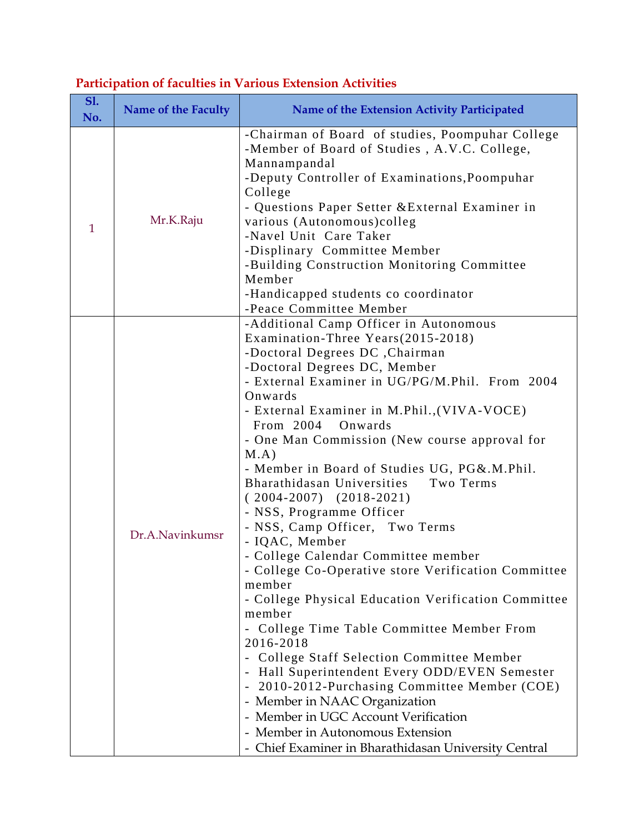| <b>S1.</b><br>No. | <b>Name of the Faculty</b> | Name of the Extension Activity Participated                                                                                                                                                                                                                                                                                                                                                                                                                                                                                                                                                                                                                                                                                                                                                                                                                                                                                                                                                                                                                                                                                       |
|-------------------|----------------------------|-----------------------------------------------------------------------------------------------------------------------------------------------------------------------------------------------------------------------------------------------------------------------------------------------------------------------------------------------------------------------------------------------------------------------------------------------------------------------------------------------------------------------------------------------------------------------------------------------------------------------------------------------------------------------------------------------------------------------------------------------------------------------------------------------------------------------------------------------------------------------------------------------------------------------------------------------------------------------------------------------------------------------------------------------------------------------------------------------------------------------------------|
| $\mathbf{1}$      | Mr.K.Raju                  | -Chairman of Board of studies, Poompuhar College<br>-Member of Board of Studies, A.V.C. College,<br>Mannampandal<br>-Deputy Controller of Examinations, Poompuhar<br>College<br>- Questions Paper Setter & External Examiner in<br>various (Autonomous)colleg<br>-Navel Unit Care Taker<br>-Displinary Committee Member<br>-Building Construction Monitoring Committee<br>Member<br>-Handicapped students co coordinator<br>-Peace Committee Member                                                                                                                                                                                                                                                                                                                                                                                                                                                                                                                                                                                                                                                                               |
|                   | Dr.A.Navinkumsr            | -Additional Camp Officer in Autonomous<br>Examination-Three Years(2015-2018)<br>-Doctoral Degrees DC, Chairman<br>-Doctoral Degrees DC, Member<br>- External Examiner in UG/PG/M.Phil. From 2004<br>Onwards<br>- External Examiner in M.Phil., (VIVA-VOCE)<br>From 2004<br>Onwards<br>- One Man Commission (New course approval for<br>$M.A$ )<br>- Member in Board of Studies UG, PG&.M.Phil.<br>Bharathidasan Universities<br>Two Terms<br>$(2004-2007)$ $(2018-2021)$<br>- NSS, Programme Officer<br>- NSS, Camp Officer, Two Terms<br>- IQAC, Member<br>- College Calendar Committee member<br>- College Co-Operative store Verification Committee<br>member<br>- College Physical Education Verification Committee<br>member<br>- College Time Table Committee Member From<br>2016-2018<br>- College Staff Selection Committee Member<br>- Hall Superintendent Every ODD/EVEN Semester<br>2010-2012-Purchasing Committee Member (COE)<br>$\blacksquare$<br>- Member in NAAC Organization<br>- Member in UGC Account Verification<br>- Member in Autonomous Extension<br>- Chief Examiner in Bharathidasan University Central |

# **Participation of faculties in Various Extension Activities**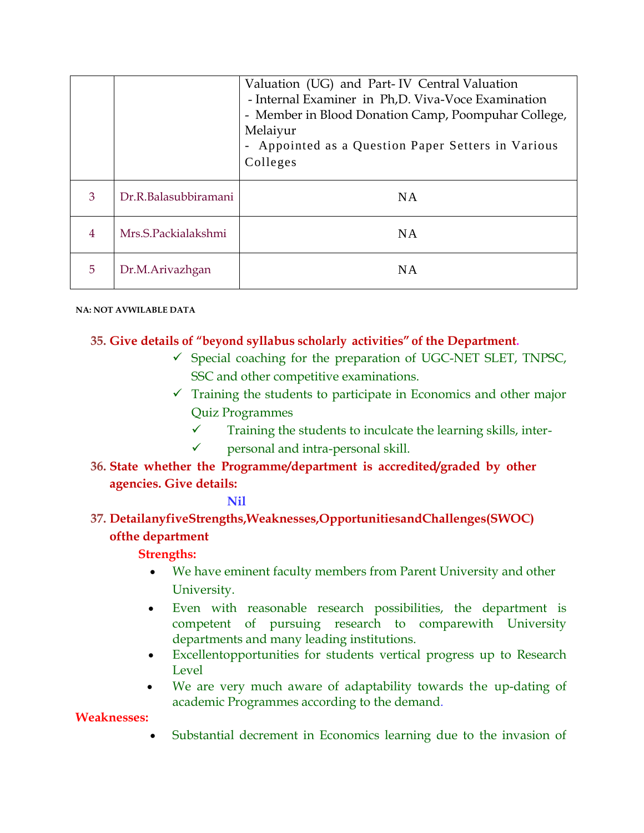|                |                      | Valuation (UG) and Part-IV Central Valuation<br>- Internal Examiner in Ph,D. Viva-Voce Examination<br>- Member in Blood Donation Camp, Poompuhar College,<br>Melaiyur<br>- Appointed as a Question Paper Setters in Various<br>Colleges |
|----------------|----------------------|-----------------------------------------------------------------------------------------------------------------------------------------------------------------------------------------------------------------------------------------|
| 3              | Dr.R.Balasubbiramani | <b>NA</b>                                                                                                                                                                                                                               |
| $\overline{4}$ | Mrs.S.Packialakshmi  | <b>NA</b>                                                                                                                                                                                                                               |
| 5              | Dr.M.Arivazhgan      | <b>NA</b>                                                                                                                                                                                                                               |

**NA: NOT AVWILABLE DATA**

# **35. Give details of "beyond syllabus scholarly activities" of the Department.**

- $\checkmark$  Special coaching for the preparation of UGC-NET SLET, TNPSC, SSC and other competitive examinations.
- $\checkmark$  Training the students to participate in Economics and other major Quiz Programmes
	- $\checkmark$  Training the students to inculcate the learning skills, inter-
	- $\checkmark$  personal and intra-personal skill.
- **36. State whether the Programme/department is accredited/graded by other agencies. Give details:**

#### **Nil**

**37. DetailanyfiveStrengths,Weaknesses,OpportunitiesandChallenges(SWOC) ofthe department**

**Strengths:**

- We have eminent faculty members from Parent University and other University.
- Even with reasonable research possibilities, the department is competent of pursuing research to comparewith University departments and many leading institutions.
- Excellentopportunities for students vertical progress up to Research Level
- We are very much aware of adaptability towards the up-dating of academic Programmes according to the demand.

**Weaknesses:**

Substantial decrement in Economics learning due to the invasion of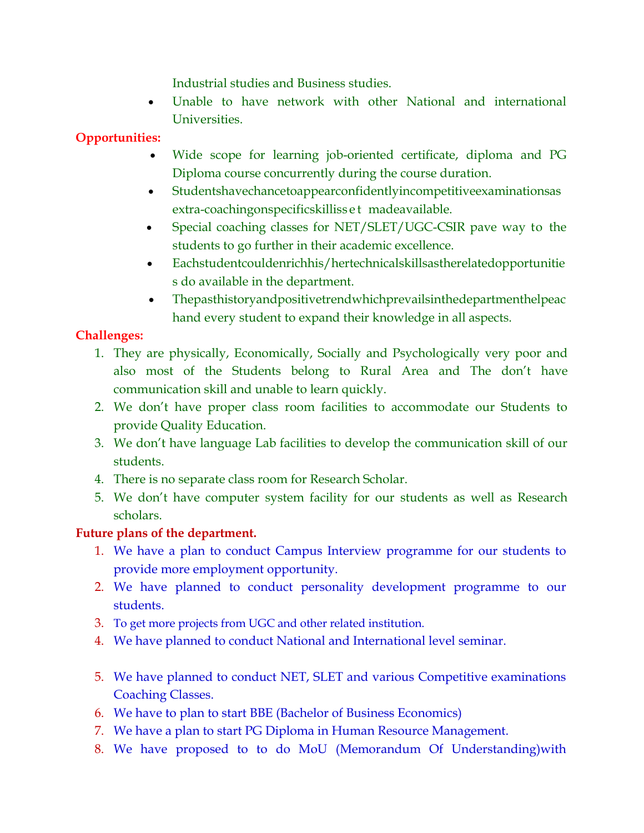Industrial studies and Business studies.

 Unable to have network with other National and international Universities.

# **Opportunities:**

- Wide scope for learning job-oriented certificate, diploma and PG Diploma course concurrently during the course duration.
- Studentshavechancetoappearconfidentlyincompetitiveexaminationsas extra-coachingonspecificskilliss e t madeavailable.
- Special coaching classes for NET/SLET/UGC-CSIR pave way to the students to go further in their academic excellence.
- Eachstudentcouldenrichhis/hertechnicalskillsastherelatedopportunitie s do available in the department.
- Thepasthistoryandpositivetrendwhichprevailsinthedepartmenthelpeac hand every student to expand their knowledge in all aspects.

# **Challenges:**

- 1. They are physically, Economically, Socially and Psychologically very poor and also most of the Students belong to Rural Area and The don't have communication skill and unable to learn quickly.
- 2. We don't have proper class room facilities to accommodate our Students to provide Quality Education.
- 3. We don't have language Lab facilities to develop the communication skill of our students.
- 4. There is no separate class room for Research Scholar.
- 5. We don't have computer system facility for our students as well as Research scholars.

# **Future plans of the department.**

- 1. We have a plan to conduct Campus Interview programme for our students to provide more employment opportunity.
- 2. We have planned to conduct personality development programme to our students.
- 3. To get more projects from UGC and other related institution.
- 4. We have planned to conduct National and International level seminar.
- 5. We have planned to conduct NET, SLET and various Competitive examinations Coaching Classes.
- 6. We have to plan to start BBE (Bachelor of Business Economics)
- 7. We have a plan to start PG Diploma in Human Resource Management.
- 8. We have proposed to to do MoU (Memorandum Of Understanding)with